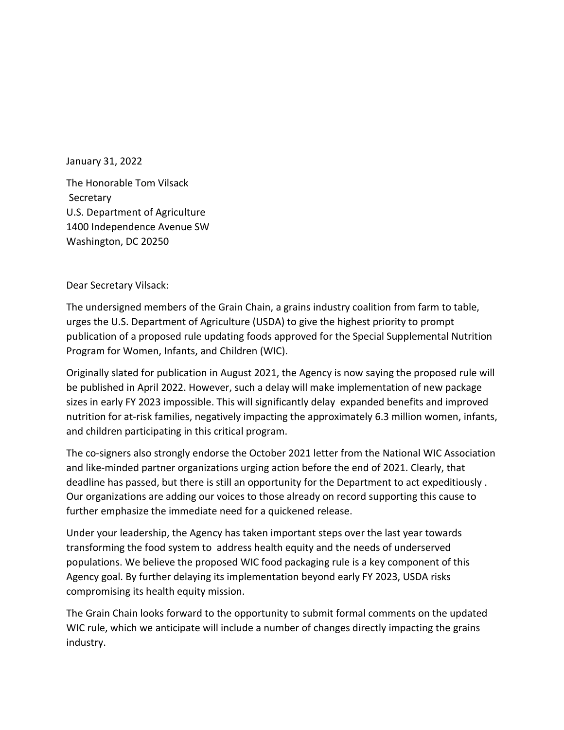January 31, 2022

The Honorable Tom Vilsack Secretary U.S. Department of Agriculture 1400 Independence Avenue SW Washington, DC 20250

Dear Secretary Vilsack:

The undersigned members of the Grain Chain, a grains industry coalition from farm to table, urges the U.S. Department of Agriculture (USDA) to give the highest priority to prompt publication of a proposed rule updating foods approved for the Special Supplemental Nutrition Program for Women, Infants, and Children (WIC).

Originally slated for publication in August 2021, the Agency is now saying the proposed rule will be published in April 2022. However, such a delay will make implementation of new package sizes in early FY 2023 impossible. This will significantly delay expanded benefits and improved nutrition for at-risk families, negatively impacting the approximately 6.3 million women, infants, and children participating in this critical program.

The co-signers also strongly endorse the October 2021 letter from the National WIC Association and like-minded partner organizations urging action before the end of 2021. Clearly, that deadline has passed, but there is still an opportunity for the Department to act expeditiously . Our organizations are adding our voices to those already on record supporting this cause to further emphasize the immediate need for a quickened release.

Under your leadership, the Agency has taken important steps over the last year towards transforming the food system to address health equity and the needs of underserved populations. We believe the proposed WIC food packaging rule is a key component of this Agency goal. By further delaying its implementation beyond early FY 2023, USDA risks compromising its health equity mission.

The Grain Chain looks forward to the opportunity to submit formal comments on the updated WIC rule, which we anticipate will include a number of changes directly impacting the grains industry.